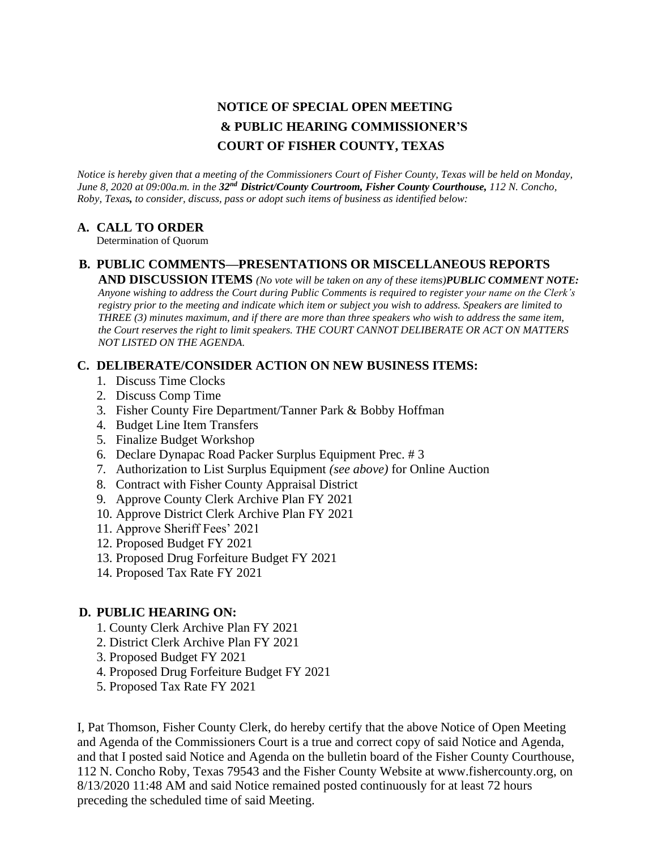# **NOTICE OF SPECIAL OPEN MEETING & PUBLIC HEARING COMMISSIONER'S COURT OF FISHER COUNTY, TEXAS**

*Notice is hereby given that a meeting of the Commissioners Court of Fisher County, Texas will be held on Monday, June 8, 2020 at 09:00a.m. in the 32nd District/County Courtroom, Fisher County Courthouse, 112 N. Concho, Roby, Texas, to consider, discuss, pass or adopt such items of business as identified below:*

### **A. CALL TO ORDER**

Determination of Quorum

# **B. PUBLIC COMMENTS—PRESENTATIONS OR MISCELLANEOUS REPORTS**

**AND DISCUSSION ITEMS** *(No vote will be taken on any of these items)PUBLIC COMMENT NOTE: Anyone wishing to address the Court during Public Comments is required to register your name on the Clerk's registry prior to the meeting and indicate which item or subject you wish to address. Speakers are limited to THREE (3) minutes maximum, and if there are more than three speakers who wish to address the same item, the Court reserves the right to limit speakers. THE COURT CANNOT DELIBERATE OR ACT ON MATTERS NOT LISTED ON THE AGENDA.*

## **C. DELIBERATE/CONSIDER ACTION ON NEW BUSINESS ITEMS:**

- 1. Discuss Time Clocks
- 2. Discuss Comp Time
- 3. Fisher County Fire Department/Tanner Park & Bobby Hoffman
- 4. Budget Line Item Transfers
- 5. Finalize Budget Workshop
- 6. Declare Dynapac Road Packer Surplus Equipment Prec. # 3
- 7. Authorization to List Surplus Equipment *(see above)* for Online Auction
- 8. Contract with Fisher County Appraisal District
- 9. Approve County Clerk Archive Plan FY 2021
- 10. Approve District Clerk Archive Plan FY 2021
- 11. Approve Sheriff Fees' 2021
- 12. Proposed Budget FY 2021
- 13. Proposed Drug Forfeiture Budget FY 2021
- 14. Proposed Tax Rate FY 2021

## **D. PUBLIC HEARING ON:**

- 1. County Clerk Archive Plan FY 2021
- 2. District Clerk Archive Plan FY 2021
- 3. Proposed Budget FY 2021
- 4. Proposed Drug Forfeiture Budget FY 2021
- 5. Proposed Tax Rate FY 2021

I, Pat Thomson, Fisher County Clerk, do hereby certify that the above Notice of Open Meeting and Agenda of the Commissioners Court is a true and correct copy of said Notice and Agenda, and that I posted said Notice and Agenda on the bulletin board of the Fisher County Courthouse, 112 N. Concho Roby, Texas 79543 and the Fisher County Website at www.fishercounty.org, on 8/13/2020 11:48 AM and said Notice remained posted continuously for at least 72 hours preceding the scheduled time of said Meeting.